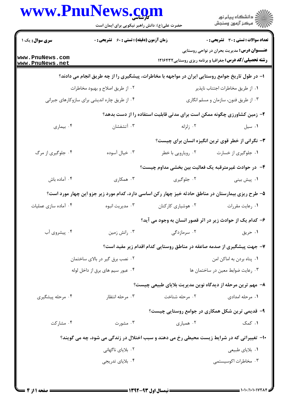| www.PnuNews.com                    | حضرت علی(ع): دانش راهبر نیکویی برای ایمان است                                                   |                    | ڪ دانشڪاه پيام نور<br>//> مرڪز آزمون وسنڊش                                                                            |
|------------------------------------|-------------------------------------------------------------------------------------------------|--------------------|-----------------------------------------------------------------------------------------------------------------------|
| <b>سری سوال :</b> یک ۱             | <b>زمان آزمون (دقیقه) : تستی : 60 ٪ تشریحی : 0</b>                                              |                    | <b>تعداد سوالات : تستی : 30 ٪ تشریحی : 0</b>                                                                          |
| www.PnuNews.com<br>www.PnuNews.net |                                                                                                 |                    | <b>عنـــوان درس:</b> مدیریت بحران در نواحی روستایی<br><b>رشته تحصیلی/کد درس:</b> جغرافیا و برنامه ریزی روستایی1۲۱۶۴۳۲ |
|                                    | ا– در طول تاریخ جوامع روستایی ایران در مواجهه با مخاطرات، پیشگیری را از چه طریق انجام می دادند؟ |                    |                                                                                                                       |
|                                    | ۰۲ از طریق اصلاح و بهبود مخاطرات                                                                |                    | ٠١ از طريق مخاطرات اجتناب ناپذير                                                                                      |
|                                    | ۰۴ از طریق چاره اندیشی برای سازوکارهای جبرانی                                                   |                    | ۰۳ از طریق فنون، سازمان و مسلم انگاری                                                                                 |
|                                    |                                                                                                 |                    | ۲- زمین کشاورزی چگونه ممکن است برای مدتی قابلیت استفاده را از دست بدهد؟                                               |
| ۰۴ بیماری                          | ۰۳ آتشفشان                                                                                      | ۰۲ زلزله           | ٠١ سيل                                                                                                                |
|                                    |                                                                                                 |                    | <b>۳</b> - نگرانی از خطر قوی ترین انگیزه انسان برای چیست؟                                                             |
| ۰۴ جلوگیری از مرگ                  | ۰۳ خیال آسوده                                                                                   | ۰۲ رویارویی با خطر | ٠١ جلوگیری از خسارت                                                                                                   |
|                                    |                                                                                                 |                    | ۴– در حوادث غیرمترقبه یک فعالیت بین بخشی مداوم چیست؟                                                                  |
| ۰۴ آماده باش                       | ۰۳ همکاری                                                                                       | ۰۲ جلوگیری         | ۰۱ پیش بینی                                                                                                           |
|                                    |                                                                                                 |                    | ۵- طرح ریزی بیمارستان در مناطق حادثه خیز چهار رکن اساسی دارد، کدام مورد زیر جزو این چهار مورد است؟                    |
| ۰۴ آماده سازی عملیات               | ۰۳ مديريت انبوه                                                                                 | ۰۲ هوشیاری کارکنان | ٠١. رعايت مقررات                                                                                                      |
|                                    |                                                                                                 |                    | ۶– کدام یک از حوادث زیر در اثر قصور انسان به وجود می اید؟                                                             |
| ۰۴ پیشروی آب                       | ۰۳ رانش زمین                                                                                    | ۰۲ سرمازدگی        | ۰۱ حريق                                                                                                               |
|                                    |                                                                                                 |                    | ۷- جهت پیشگیری از صدمه صاعقه در مناطق روستایی کدام اقدام زیر مفید است؟                                                |
|                                    | ۰۲ نصب برق گیر در بالای ساختمان                                                                 |                    | ٠١. پناه بردن به اماكن امن                                                                                            |
|                                    | ۰۴ عبور سیم های برق از داخل لوله                                                                |                    | ٠٣ رعايت ضوابط معين در ساختمان ها                                                                                     |
|                                    |                                                                                                 |                    | ۸– مهم ترین مرحله از دیدگاه نوین مدیریت بلایای طبیعی چیست؟                                                            |
| ۰۴ مرحله پیشگیری                   | ۰۳ مرحله انتظار                                                                                 | ۰۲ مرحله شناخت     | ۰۱ مرحله امدادی                                                                                                       |
|                                    |                                                                                                 |                    | ۹- قدیمی ترین شکل همکاری در جوامع روستایی چیست؟                                                                       |
| ۰۴ مشاركت                          | ۰۳ مشورت                                                                                        | ۰۲ همیاری          | ۰۱ کمک                                                                                                                |
|                                    |                                                                                                 |                    | ۱۰- تغییراتی که در شرایط زیست محیطی رخ می دهند و سبب اختلال در زندگی می شود، چه می گویند؟                             |
|                                    | ۰۲ بلایای ناگهانی                                                                               |                    | ١. بلاياي طبيعي                                                                                                       |
|                                    | ۰۴ بلایای تدریجی                                                                                |                    | ۰۳ مخاطرات اکوسیستمی                                                                                                  |
|                                    |                                                                                                 |                    |                                                                                                                       |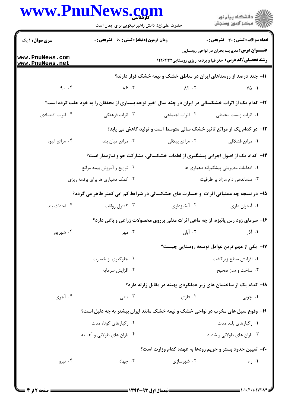|                                    | حضرت علی(ع): دانش راهبر نیکویی برای ایمان است                                                       |                                                                    | ِ<br>∭ دانشڪاه پيام نور<br>∭ مرڪز آزمون وسنڊش                                                                          |
|------------------------------------|-----------------------------------------------------------------------------------------------------|--------------------------------------------------------------------|------------------------------------------------------------------------------------------------------------------------|
| <b>سری سوال : ۱ یک</b>             | <b>زمان آزمون (دقیقه) : تستی : 60 ٪ تشریحی : 0</b>                                                  |                                                                    | تعداد سوالات : تستي : 30 ٪ تشريحي : 0                                                                                  |
| www.PnuNews.com<br>www.PnuNews.net |                                                                                                     |                                                                    | <b>عنــــوان درس:</b> مدیریت بحران در نواحی روستایی<br><b>رشته تحصیلی/کد درس:</b> جغرافیا و برنامه ریزی روستایی1۲۱۶۴۳۲ |
|                                    |                                                                                                     | 11- چند درصد از روستاهای ایران در مناطق خشک و نیمه خشک قرار دارند؟ |                                                                                                                        |
| 9.7                                | $\lambda$ ۶.۳                                                                                       | $\Lambda Y$ . $Y$                                                  | $Y\Delta$ .1                                                                                                           |
|                                    | ۱۲- کدام یک از اثرات خشکسالی در ایران در چند سال اخیر توجه بسیاری از محققان را به خود جلب کرده است؟ |                                                                    |                                                                                                                        |
| ۰۴ اثرات اقتصادی                   | ۰۳ اثرات فرهنگی                                                                                     | ۰۲ اثرات اجتماعی                                                   | ۰۱ اثرات زیست محیطی                                                                                                    |
|                                    |                                                                                                     |                                                                    | ۱۳- در کدام یک از مراتع تاثیر خشک سالی متوسط است و تولید کاهش می یابد؟                                                 |
| ۰۴ مراتع انبوه                     | ۰۳ مراتع میان بند                                                                                   | ۰۲ مراتع پیلاقی                                                    | ۰۱ مراتع قشلاقي                                                                                                        |
|                                    |                                                                                                     |                                                                    | ۱۴- کدام یک از اصول اجرایی پیشگیری از لطمات خشکسالی، مشارکت جو و نیازمدار است؟                                         |
|                                    | ۲.  توزیع و آموزش بیمه مراتع                                                                        |                                                                    | ۰۱ اقدامات مدیریتی پیشگیرانه دهیاری ها                                                                                 |
|                                    | ۰۴ کمک دهیاری ها برای برنامه ریزی                                                                   |                                                                    | ۰۳ ساماندهی دام مازاد بر ظرفیت                                                                                         |
|                                    | ۱۵– در نتیجه چه عملیاتی اثرات ًو خسارت های خشکسالی در شرایط کم آبی کمتر ظاهر می گردد؟               |                                                                    |                                                                                                                        |
| ۰۴ احداث بند                       | ۰۳ کنترل رواناب                                                                                     | ۰۲ آبخیزداری                                                       | ۰۱ آبخوان داری                                                                                                         |
|                                    |                                                                                                     |                                                                    | ۱۶- سرمای زود رس پائیزه، از چه ماهی اثرات منفی برروی محصولات زراعی و باغی دارد؟                                        |
| ۰۴ شهريور                          | ۰۳ مهر                                                                                              | ۰۲ آبان                                                            | ۰۱ آذر                                                                                                                 |
|                                    |                                                                                                     |                                                                    | ۱۷-  یکی از مهم ترین عوامل توسعه روستایی چیست؟                                                                         |
|                                    | ۰۲ جلوگیری از خسارت                                                                                 |                                                                    | ۰۱ افزایش سطح زیر کشت                                                                                                  |
|                                    | ۰۴ افزايش سرمايه                                                                                    |                                                                    | ۰۳ ساخت و ساز صحیح                                                                                                     |
|                                    |                                                                                                     |                                                                    | ۱۸– کدام یک از ساختمان های زیر عملکردی بهینه در مقابل زلزله دارد؟                                                      |
| ۰۴ آجری                            | ۰۳ بتنی $\cdot$                                                                                     | ۰۲ فلزی                                                            | ۰۱ چوبی                                                                                                                |
|                                    | ۱۹- وقوع سیل های مخرب در نواحی خشک و نیمه خشک مانند ایران بیشتر به چه دلیل است؟                     |                                                                    |                                                                                                                        |
|                                    | ۰۲ رگبارهای کوتاه مدت                                                                               |                                                                    | ۰۱ رگبارهای بلند مدت                                                                                                   |
|                                    | ۰۴ باران های طولانی و آهسته                                                                         |                                                                    | ۰۳ باران های طولانی و شدید                                                                                             |
|                                    |                                                                                                     |                                                                    | ۲۰– تعیین حدود بستر و حریم رودها به عهده کدام وزارت است؟                                                               |
| ۰۴ نیرو                            | ۰۳ جهاد                                                                                             | ۰۲ شهرسازی                                                         | ۰۱ راه                                                                                                                 |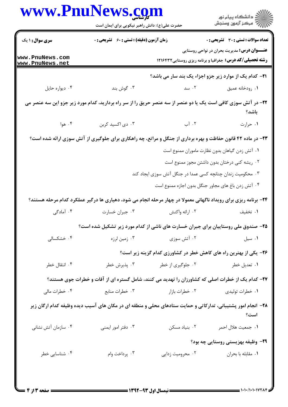|                                    | حضرت علی(ع): دانش راهبر نیکویی برای ایمان است                                                                   |                                                             | ر<br>دانشڪاه پيام نور<br>∥7 مرڪز آزمون وسنڊش                                                                          |
|------------------------------------|-----------------------------------------------------------------------------------------------------------------|-------------------------------------------------------------|-----------------------------------------------------------------------------------------------------------------------|
| <b>سری سوال :</b> ۱ یک             | <b>زمان آزمون (دقیقه) : تستی : 60 گشریحی : 0</b>                                                                |                                                             | <b>تعداد سوالات : تستی : 30 ٪ تشریحی : 0</b>                                                                          |
| www.PnuNews.com<br>www.PnuNews.net |                                                                                                                 |                                                             | <b>عنـــوان درس:</b> مدیریت بحران در نواحی روستایی<br><b>رشته تحصیلی/کد درس:</b> جغرافیا و برنامه ریزی روستایی1۲۱۶۴۳۲ |
|                                    |                                                                                                                 |                                                             | <b>۲۱</b> - کدام یک از موارد زیر جزو اجزاء یک بند سار می باشد؟                                                        |
| ۰۴ دیواره حایل                     | ۰۳ گوش بند                                                                                                      |                                                             | ۰۱ رودخانه عمیق سه ۲۰ سد                                                                                              |
|                                    | ۲۲- در آتش سوزی کافی است یک یا دو عنصر از سه عنصر حریق را از سر راه بردارید، کدام مورد زیر جزو این سه عنصر می   |                                                             | باشد؟                                                                                                                 |
| ۰۴ هوا                             | ۰۳ دی اکسید کربن                                                                                                | ٢. آب                                                       | ٠١. حرارت                                                                                                             |
|                                    | ۲۳- در ماده ۴۲ قانون حفاظت و بهره برداری از جنگل و مراتع، چه راهکاری برای جلوگیری از آتش سوزی ارائه شده است؟    |                                                             |                                                                                                                       |
|                                    |                                                                                                                 |                                                             | ٠١ آتش زدن گياهان بدون نظارت ماموران ممنوع است                                                                        |
|                                    |                                                                                                                 |                                                             | ۰۲ ریشه کنی درختان بدون داشتن مجوز ممنوع است                                                                          |
|                                    |                                                                                                                 | ۰۳ محکومیت زندان چنانچه کسی عمدا در جنگل آتش سوزی ایجاد کند |                                                                                                                       |
|                                    |                                                                                                                 | ۰۴ آتش زدن باغ های مجاور جنگل بدون اجازه ممنوع است          |                                                                                                                       |
|                                    | ۲۴- برنامه ریزی برای رویداد ناگهانی معمولا در چهار مرحله انجام می شود، دهیاری ها درگیر عملکرد کدام مرحله هستند؟ |                                                             |                                                                                                                       |
| ۰۴ آمادگی                          | ۰۳ جبران خسارت                                                                                                  | ۰۲ ارائه واکنش                                              | ۰۱ تخفیف                                                                                                              |
|                                    | ۲۵- صندوق ملی روستاییان برای جبران خسارت های ناشی از کدام مورد زیر تشکیل شده است؟                               |                                                             |                                                                                                                       |
| ۰۴ خشکسالی                         | ۰۳ زمین لرزه                                                                                                    | ۰۲ آتش سوزی                                                 | ٠١ سيل                                                                                                                |
|                                    |                                                                                                                 |                                                             | ۲۶- یکی از بهترین راه های کاهش خطر در کشاورزی کدام گزینه زیر است؟                                                     |
| ۰۴ انتقال خطر                      | ۰۳ پذیرش خطر                                                                                                    | ۰۲ جلوگیری از خطر                                           | ۰۱ تعدیل خطر                                                                                                          |
|                                    | ۲۷– کدام یک از خطرات اصلی که کشاورزان را تهدید می کنند، شامل گستره ای از آفات و خطرات جوی هستند؟                |                                                             |                                                                                                                       |
| ۰۴ خطرات مالی                      | ۰۳ خطرات منابع                                                                                                  | ۰۲ خطرات بازار                                              | ۰۱ خطرات تولیدی                                                                                                       |
|                                    | ۲۸– انجام امور پشتیبانی، تدارکاتی و حمایت ستادهای محلی و منطقه ای در مکان های آسیب دیده وظیفه کدام ارگان زیر    |                                                             | است؟                                                                                                                  |
| ۰۴ سازمان آتش نشانی                | ۰۳ دفتر امور ایمنی                                                                                              | ٠٢ بنياد مسكن                                               | ٠١ جمعيت هلال احمر                                                                                                    |
|                                    |                                                                                                                 |                                                             | <b>۲۹</b> - وظیفه بهزیستی روستایی چه بود؟                                                                             |
| ۰۴ شناسایی خطر                     | ۰۳ پرداخت وام                                                                                                   | ۰۲ محرومیت زدایی                                            | ٠١ مقابله با بحران                                                                                                    |